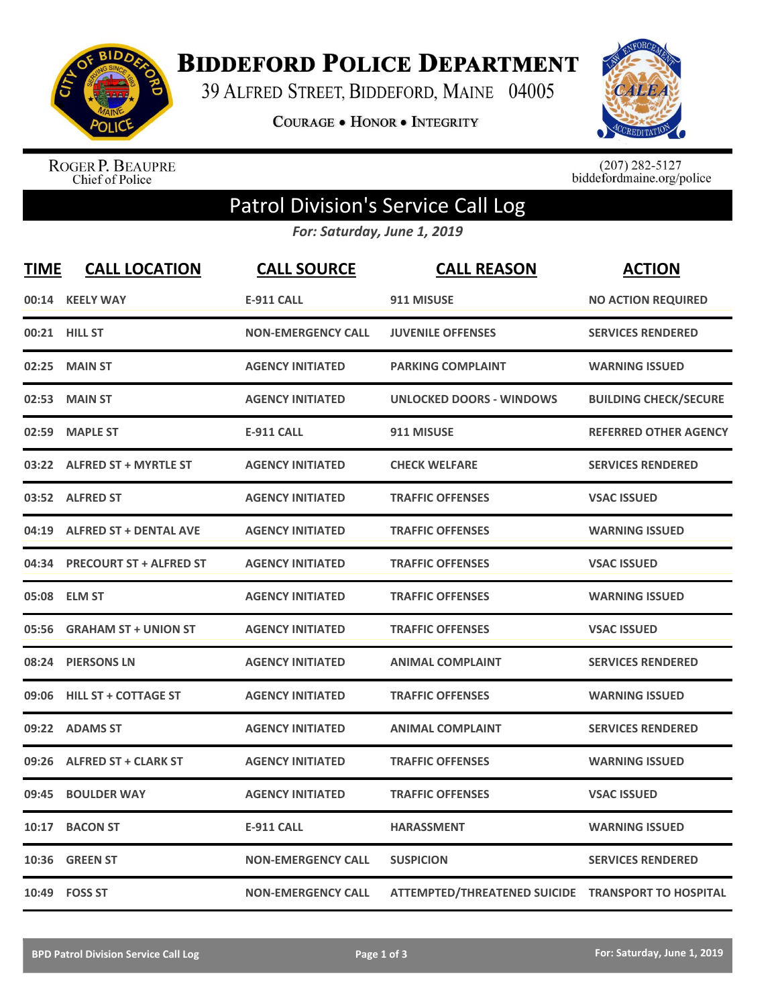

**BIDDEFORD POLICE DEPARTMENT** 

39 ALFRED STREET, BIDDEFORD, MAINE 04005

COURAGE . HONOR . INTEGRITY



ROGER P. BEAUPRE<br>Chief of Police

 $(207)$  282-5127<br>biddefordmaine.org/police

## Patrol Division's Service Call Log

*For: Saturday, June 1, 2019*

| <b>TIME</b> | <b>CALL LOCATION</b>           | <b>CALL SOURCE</b>        | <b>CALL REASON</b>                                 | <b>ACTION</b>                |
|-------------|--------------------------------|---------------------------|----------------------------------------------------|------------------------------|
| 00:14       | <b>KEELY WAY</b>               | <b>E-911 CALL</b>         | 911 MISUSE                                         | <b>NO ACTION REQUIRED</b>    |
|             | 00:21 HILL ST                  | <b>NON-EMERGENCY CALL</b> | <b>JUVENILE OFFENSES</b>                           | <b>SERVICES RENDERED</b>     |
| 02:25       | <b>MAIN ST</b>                 | <b>AGENCY INITIATED</b>   | <b>PARKING COMPLAINT</b>                           | <b>WARNING ISSUED</b>        |
| 02:53       | <b>MAIN ST</b>                 | <b>AGENCY INITIATED</b>   | <b>UNLOCKED DOORS - WINDOWS</b>                    | <b>BUILDING CHECK/SECURE</b> |
| 02:59       | <b>MAPLE ST</b>                | <b>E-911 CALL</b>         | 911 MISUSE                                         | <b>REFERRED OTHER AGENCY</b> |
| 03:22       | <b>ALFRED ST + MYRTLE ST</b>   | <b>AGENCY INITIATED</b>   | <b>CHECK WELFARE</b>                               | <b>SERVICES RENDERED</b>     |
|             | 03:52 ALFRED ST                | <b>AGENCY INITIATED</b>   | <b>TRAFFIC OFFENSES</b>                            | <b>VSAC ISSUED</b>           |
| 04:19       | <b>ALFRED ST + DENTAL AVE</b>  | <b>AGENCY INITIATED</b>   | <b>TRAFFIC OFFENSES</b>                            | <b>WARNING ISSUED</b>        |
| 04:34       | <b>PRECOURT ST + ALFRED ST</b> | <b>AGENCY INITIATED</b>   | <b>TRAFFIC OFFENSES</b>                            | <b>VSAC ISSUED</b>           |
|             | 05:08 ELM ST                   | <b>AGENCY INITIATED</b>   | <b>TRAFFIC OFFENSES</b>                            | <b>WARNING ISSUED</b>        |
| 05:56       | <b>GRAHAM ST + UNION ST</b>    | <b>AGENCY INITIATED</b>   | <b>TRAFFIC OFFENSES</b>                            | <b>VSAC ISSUED</b>           |
| 08:24       | <b>PIERSONS LN</b>             | <b>AGENCY INITIATED</b>   | <b>ANIMAL COMPLAINT</b>                            | <b>SERVICES RENDERED</b>     |
| 09:06       | <b>HILL ST + COTTAGE ST</b>    | <b>AGENCY INITIATED</b>   | <b>TRAFFIC OFFENSES</b>                            | <b>WARNING ISSUED</b>        |
| 09:22       | <b>ADAMS ST</b>                | <b>AGENCY INITIATED</b>   | <b>ANIMAL COMPLAINT</b>                            | <b>SERVICES RENDERED</b>     |
| 09:26       | <b>ALFRED ST + CLARK ST</b>    | <b>AGENCY INITIATED</b>   | <b>TRAFFIC OFFENSES</b>                            | <b>WARNING ISSUED</b>        |
| 09:45       | <b>BOULDER WAY</b>             | <b>AGENCY INITIATED</b>   | <b>TRAFFIC OFFENSES</b>                            | <b>VSAC ISSUED</b>           |
| 10:17       | <b>BACON ST</b>                | <b>E-911 CALL</b>         | <b>HARASSMENT</b>                                  | <b>WARNING ISSUED</b>        |
| 10:36       | <b>GREEN ST</b>                | <b>NON-EMERGENCY CALL</b> | <b>SUSPICION</b>                                   | <b>SERVICES RENDERED</b>     |
|             | 10:49    FOSS ST               | <b>NON-EMERGENCY CALL</b> | ATTEMPTED/THREATENED SUICIDE TRANSPORT TO HOSPITAL |                              |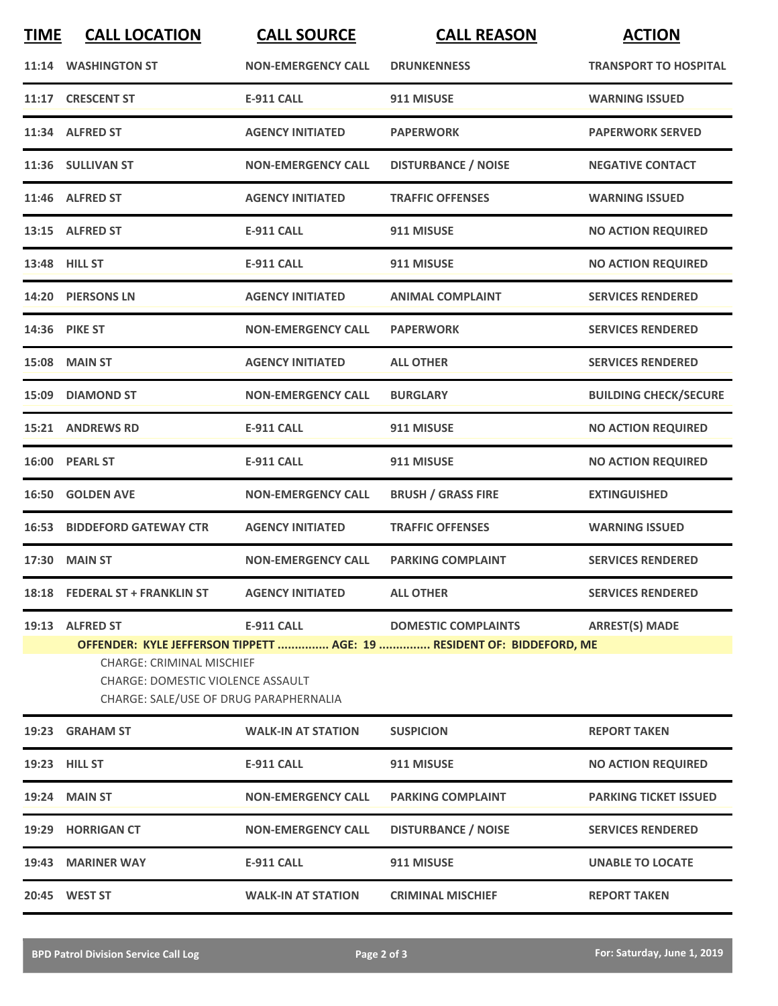| <b>TIME</b> | <b>CALL LOCATION</b>                                                                                                                      | <b>CALL SOURCE</b>        | <b>CALL REASON</b>                                                                                  | <b>ACTION</b>                |
|-------------|-------------------------------------------------------------------------------------------------------------------------------------------|---------------------------|-----------------------------------------------------------------------------------------------------|------------------------------|
|             | 11:14 WASHINGTON ST                                                                                                                       | <b>NON-EMERGENCY CALL</b> | <b>DRUNKENNESS</b>                                                                                  | <b>TRANSPORT TO HOSPITAL</b> |
|             | 11:17 CRESCENT ST                                                                                                                         | <b>E-911 CALL</b>         | 911 MISUSE                                                                                          | <b>WARNING ISSUED</b>        |
|             | 11:34 ALFRED ST                                                                                                                           | <b>AGENCY INITIATED</b>   | <b>PAPERWORK</b>                                                                                    | <b>PAPERWORK SERVED</b>      |
|             | 11:36 SULLIVAN ST                                                                                                                         | <b>NON-EMERGENCY CALL</b> | <b>DISTURBANCE / NOISE</b>                                                                          | <b>NEGATIVE CONTACT</b>      |
|             | 11:46 ALFRED ST                                                                                                                           | <b>AGENCY INITIATED</b>   | <b>TRAFFIC OFFENSES</b>                                                                             | <b>WARNING ISSUED</b>        |
|             | 13:15 ALFRED ST                                                                                                                           | <b>E-911 CALL</b>         | 911 MISUSE                                                                                          | <b>NO ACTION REQUIRED</b>    |
|             | 13:48 HILL ST                                                                                                                             | <b>E-911 CALL</b>         | 911 MISUSE                                                                                          | <b>NO ACTION REQUIRED</b>    |
|             | 14:20 PIERSONS LN                                                                                                                         | <b>AGENCY INITIATED</b>   | <b>ANIMAL COMPLAINT</b>                                                                             | <b>SERVICES RENDERED</b>     |
|             | 14:36 PIKE ST                                                                                                                             | <b>NON-EMERGENCY CALL</b> | <b>PAPERWORK</b>                                                                                    | <b>SERVICES RENDERED</b>     |
|             | 15:08 MAIN ST                                                                                                                             | <b>AGENCY INITIATED</b>   | <b>ALL OTHER</b>                                                                                    | <b>SERVICES RENDERED</b>     |
|             | 15:09 DIAMOND ST                                                                                                                          | <b>NON-EMERGENCY CALL</b> | <b>BURGLARY</b>                                                                                     | <b>BUILDING CHECK/SECURE</b> |
|             | 15:21 ANDREWS RD                                                                                                                          | <b>E-911 CALL</b>         | 911 MISUSE                                                                                          | <b>NO ACTION REQUIRED</b>    |
|             | 16:00 PEARL ST                                                                                                                            | <b>E-911 CALL</b>         | 911 MISUSE                                                                                          | <b>NO ACTION REQUIRED</b>    |
| 16:50       | <b>GOLDEN AVE</b>                                                                                                                         | <b>NON-EMERGENCY CALL</b> | <b>BRUSH / GRASS FIRE</b>                                                                           | <b>EXTINGUISHED</b>          |
|             | <b>16:53 BIDDEFORD GATEWAY CTR</b>                                                                                                        | <b>AGENCY INITIATED</b>   | <b>TRAFFIC OFFENSES</b>                                                                             | <b>WARNING ISSUED</b>        |
|             | 17:30 MAIN ST                                                                                                                             | <b>NON-EMERGENCY CALL</b> | <b>PARKING COMPLAINT</b>                                                                            | <b>SERVICES RENDERED</b>     |
|             | 18:18 FEDERAL ST + FRANKLIN ST                                                                                                            | <b>AGENCY INITIATED</b>   | <b>ALL OTHER</b>                                                                                    | <b>SERVICES RENDERED</b>     |
|             | 19:13 ALFRED ST<br><b>CHARGE: CRIMINAL MISCHIEF</b><br><b>CHARGE: DOMESTIC VIOLENCE ASSAULT</b><br>CHARGE: SALE/USE OF DRUG PARAPHERNALIA | <b>E-911 CALL</b>         | <b>DOMESTIC COMPLAINTS</b><br>OFFENDER: KYLE JEFFERSON TIPPETT  AGE: 19  RESIDENT OF: BIDDEFORD, ME | <b>ARREST(S) MADE</b>        |
|             | 19:23 GRAHAM ST                                                                                                                           | <b>WALK-IN AT STATION</b> | <b>SUSPICION</b>                                                                                    | <b>REPORT TAKEN</b>          |
|             | 19:23 HILL ST                                                                                                                             | <b>E-911 CALL</b>         | 911 MISUSE                                                                                          | <b>NO ACTION REQUIRED</b>    |
|             | 19:24 MAIN ST                                                                                                                             | <b>NON-EMERGENCY CALL</b> | <b>PARKING COMPLAINT</b>                                                                            | <b>PARKING TICKET ISSUED</b> |
|             | 19:29 HORRIGAN CT                                                                                                                         | <b>NON-EMERGENCY CALL</b> | <b>DISTURBANCE / NOISE</b>                                                                          | <b>SERVICES RENDERED</b>     |
|             | 19:43 MARINER WAY                                                                                                                         | <b>E-911 CALL</b>         | 911 MISUSE                                                                                          | <b>UNABLE TO LOCATE</b>      |
|             | 20:45 WEST ST                                                                                                                             | <b>WALK-IN AT STATION</b> | <b>CRIMINAL MISCHIEF</b>                                                                            | <b>REPORT TAKEN</b>          |